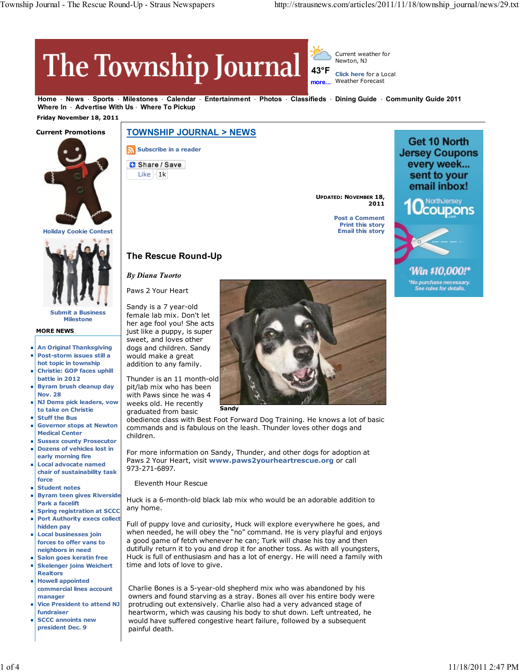# **The Township Journal**



**43°F more... Click here** for a Local Weather Forecast

**Home News Sports Milestones Calendar Entertainment Photos Classifieds Dining Guide Community Guide 2011 Where In Advertise With Us Where To Pickup**

 **Friday November 18, 2011**

## **Current Promotions**



**Holiday Cookie Contest**



**Submit a Business Milestone**

#### **MORE NEWS**

- $\overline{\mathbb{L}}$ **An Original Thanksgiving Post-storm issues still a**
- **hot topic in township Christie: GOP faces uphill battle in 2012**
- **Byram brush cleanup day Nov. 28**
- **NJ Dems pick leaders, vow to take on Christie**
- $\blacksquare$ **Stuff the Bus**
- **Governor stops at Newton Medical Center**
- **Sussex county Prosecutor Dozens of vehicles lost in**  $\blacksquare$ **early morning fire**
- **Local advocate named chair of sustainability task force**
- **Student notes**
- **Byram teen gives Riverside** п **Park a facelift**
- **Spring registration at SCCC Port Authority execs collect hidden pay**
- n. **Local businesses join forces to offer vans to neighbors in need**
- **Salon goes keratin free Skelenger joins Weichert** п
- **Realtors Howell appointed commercial lines account**
- **manager Vice President to attend NJ fundraiser**
- **SCCC annoints new president Dec. 9**

# **TOWNSHIP JOURNAL > NEWS**

**Subscribe in a reader** 

Share / Save Like  $|4k|$ 

> **UPDATED: NOVEMBER 18, 2011**

> > **Post a Comment Print this story Email this story**



NorthJersey coupons



Win \$10,000!\* *No purchase necessary.*<br>See rules for details.

# **The Rescue Round-Up**

## *By Diana Tuorto*

Paws 2 Your Heart

Sandy is a 7 year-old female lab mix. Don't let her age fool you! She acts just like a puppy, is super sweet, and loves other dogs and children. Sandy would make a great addition to any family.

Thunder is an 11 month-old pit/lab mix who has been with Paws since he was 4 weeks old. He recently graduated from basic

obedience class with Best Foot Forward Dog Training. He knows a lot of basic commands and is fabulous on the leash. Thunder loves other dogs and children.

For more information on Sandy, Thunder, and other dogs for adoption at Paws 2 Your Heart, visit **www.paws2yourheartrescue.org** or call 973-271-6897.

**Sandy**

## Eleventh Hour Rescue

Huck is a 6-month-old black lab mix who would be an adorable addition to any home.

Full of puppy love and curiosity, Huck will explore everywhere he goes, and when needed, he will obey the "no" command. He is very playful and enjoys a good game of fetch whenever he can; Turk will chase his toy and then dutifully return it to you and drop it for another toss. As with all youngsters, Huck is full of enthusiasm and has a lot of energy. He will need a family with time and lots of love to give.

Charlie Bones is a 5-year-old shepherd mix who was abandoned by his owners and found starving as a stray. Bones all over his entire body were protruding out extensively. Charlie also had a very advanced stage of heartworm, which was causing his body to shut down. Left untreated, he would have suffered congestive heart failure, followed by a subsequent painful death.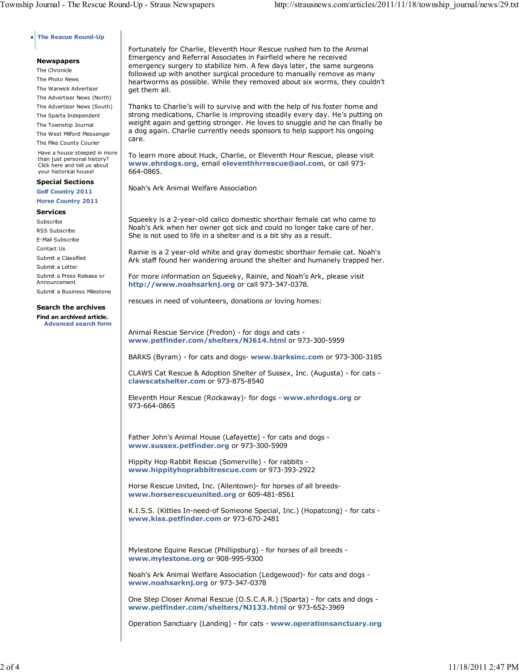#### **The Rescue Round-Up**

#### **Newspapers**

The Chronicle The Photo News The Warwick Advertiser

The Advertiser News (North)

The Advertiser News (South)

The Sparta Independent

The Township Journal The West Milford Messenger

The Pike County Courier

Have a house steeped in more than just personal history? Click here and tell us about your historical house!

## **Special Sections**

**Golf Country 2011 Horse Country 2011**

### **Services**

Subscribe RSS Subscribe E-Mail Subscribe Contact Us Submit a Classified Submit a Letter Submit a Press Release or Announcement Submit a Business Milestone

## **Search the archives**

**Find an archived article. Advanced search form** Fortunately for Charlie, Eleventh Hour Rescue rushed him to the Animal Emergency and Referral Associates in Fairfield where he received emergency surgery to stabilize him. A few days later, the same surgeons followed up with another surgical procedure to manually remove as many heartworms as possible. While they removed about six worms, they couldn't get them all.

Thanks to Charlie's will to survive and with the help of his foster home and strong medications, Charlie is improving steadily every day. He's putting on weight again and getting stronger. He loves to snuggle and he can finally be a dog again. Charlie currently needs sponsors to help support his ongoing care.

To learn more about Huck, Charlie, or Eleventh Hour Rescue, please visit **www.ehrdogs.org**, email **eleventhhrrescue@aol.com**, or call 973- 664-0865.

Noah's Ark Animal Welfare Association

Squeeky is a 2-year-old calico domestic shorthair female cat who came to Noah's Ark when her owner got sick and could no longer take care of her. She is not used to life in a shelter and is a bit shy as a result.

Rainie is a 2 year-old white and gray domestic shorthair female cat. Noah's Ark staff found her wandering around the shelter and humanely trapped her.

For more information on Squeeky, Rainie, and Noah's Ark, please visit **http://www.noahsarknj.org** or call 973-347-0378.

rescues in need of volunteers, donations or loving homes:

Animal Rescue Service (Fredon) - for dogs and cats **www.petfinder.com/shelters/NJ614.html** or 973-300-5959

BARKS (Byram) - for cats and dogs- **www.barksinc.com** or 973-300-3185

CLAWS Cat Rescue & Adoption Shelter of Sussex, Inc. (Augusta) - for cats **clawscatshelter.com** or 973-875-8540

Eleventh Hour Rescue (Rockaway)- for dogs - **www.ehrdogs.org** or 973-664-0865

Father John's Animal House (Lafayette) - for cats and dogs **www.sussex.petfinder.org** or 973-300-5909

Hippity Hop Rabbit Rescue (Somerville) - for rabbits **www.hippityhoprabbitrescue.com** or 973-393-2922

Horse Rescue United, Inc. (Allentown)- for horses of all breeds**www.horserescueunited.org** or 609-481-8561

K.I.S.S. (Kitties In-need-of Someone Special, Inc.) (Hopatcong) - for cats **www.kiss.petfinder.com** or 973-670-2481

Mylestone Equine Rescue (Phillipsburg) - for horses of all breeds **www.mylestone.org** or 908-995-9300

Noah's Ark Animal Welfare Association (Ledgewood)- for cats and dogs **www.noahsarknj.org** or 973-347-0378

One Step Closer Animal Rescue (O.S.C.A.R.) (Sparta) - for cats and dogs **www.petfinder.com/shelters/NJ133.html** or 973-652-3969

Operation Sanctuary (Landing) - for cats - **www.operationsanctuary.org**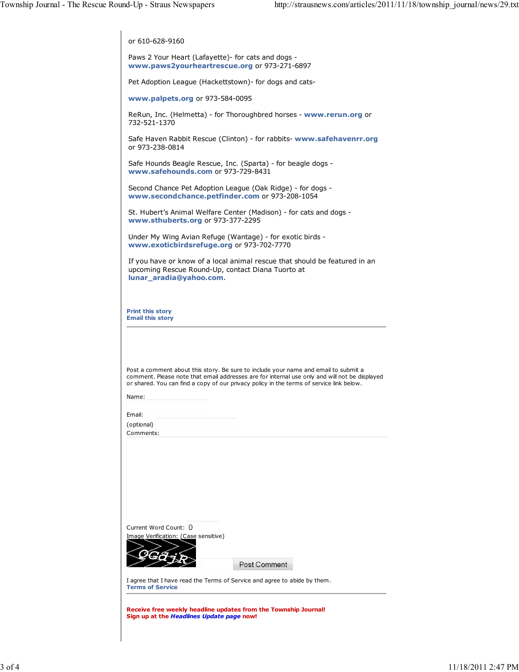| or 610-628-9160                                                                                                                                                                      |
|--------------------------------------------------------------------------------------------------------------------------------------------------------------------------------------|
| Paws 2 Your Heart (Lafayette) - for cats and dogs -<br>www.paws2yourheartrescue.org or 973-271-6897                                                                                  |
| Pet Adoption League (Hackettstown)- for dogs and cats-                                                                                                                               |
| www.palpets.org or 973-584-0095                                                                                                                                                      |
| ReRun, Inc. (Helmetta) - for Thoroughbred horses - www.rerun.org or<br>732-521-1370                                                                                                  |
| Safe Haven Rabbit Rescue (Clinton) - for rabbits- www.safehavenrr.org<br>or 973-238-0814                                                                                             |
| Safe Hounds Beagle Rescue, Inc. (Sparta) - for beagle dogs -<br>www.safehounds.com or 973-729-8431                                                                                   |
| Second Chance Pet Adoption League (Oak Ridge) - for dogs -<br>www.secondchance.petfinder.com or 973-208-1054                                                                         |
| St. Hubert's Animal Welfare Center (Madison) - for cats and dogs -<br>www.sthuberts.org or 973-377-2295                                                                              |
| Under My Wing Avian Refuge (Wantage) - for exotic birds -<br>www.exoticbirdsrefuge.org or 973-702-7770                                                                               |
| If you have or know of a local animal rescue that should be featured in an<br>upcoming Rescue Round-Up, contact Diana Tuorto at<br>lunar_aradia@yahoo.com                            |
| Post a comment about this story. Be sure to include your name and email to submit a<br>comment. Please note that email addresses are for internal use only and will not be displayed |
| or shared. You can find a copy of our privacy policy in the terms of service link below.                                                                                             |
| Name:                                                                                                                                                                                |
| Email:<br>(optional)                                                                                                                                                                 |
| Comments:                                                                                                                                                                            |
|                                                                                                                                                                                      |
| Current Word Count: 0<br>Image Verification: (Case sensitive)                                                                                                                        |
| Post Comment<br>I agree that I have read the Terms of Service and agree to abide by them.<br><b>Terms of Service</b>                                                                 |
|                                                                                                                                                                                      |

**Receive free weekly headline updates from the Township Journal! Sign up at the** *Headlines Update page* **now!**